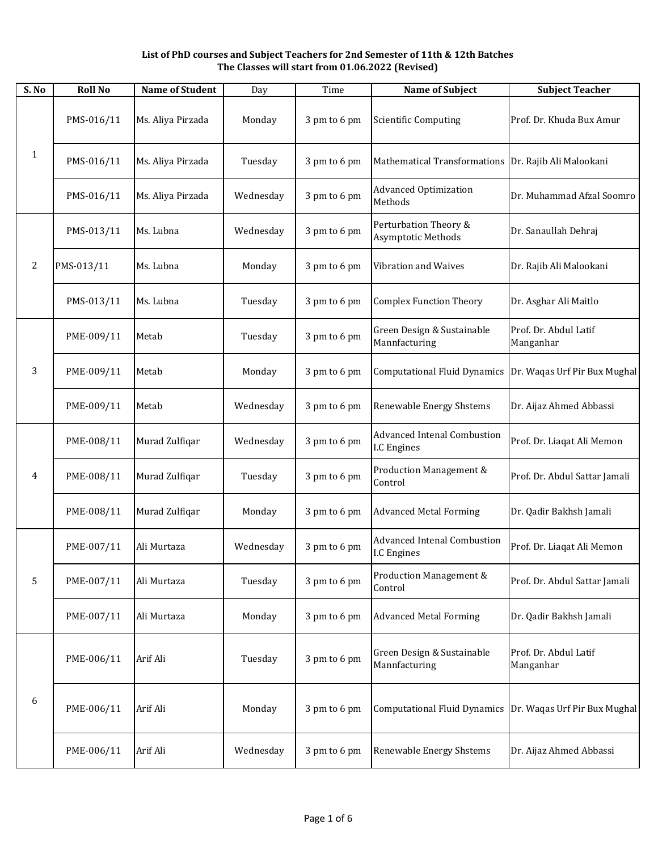**List of PhD courses and Subject Teachers for 2nd Semester of 11th & 12th Batches The Classes will start from 01.06.2022 (Revised)**

| S. No        | <b>Roll No</b> | <b>Name of Student</b> | Day       | Time         | <b>Name of Subject</b>                                   | <b>Subject Teacher</b>             |
|--------------|----------------|------------------------|-----------|--------------|----------------------------------------------------------|------------------------------------|
|              | PMS-016/11     | Ms. Aliya Pirzada      | Monday    | 3 pm to 6 pm | <b>Scientific Computing</b>                              | Prof. Dr. Khuda Bux Amur           |
| $\mathbf{1}$ | PMS-016/11     | Ms. Aliya Pirzada      | Tuesday   | 3 pm to 6 pm | <b>Mathematical Transformations</b>                      | Dr. Rajib Ali Malookani            |
|              | PMS-016/11     | Ms. Aliya Pirzada      | Wednesday | 3 pm to 6 pm | <b>Advanced Optimization</b><br>Methods                  | Dr. Muhammad Afzal Soomro          |
|              | PMS-013/11     | Ms. Lubna              | Wednesday | 3 pm to 6 pm | Perturbation Theory &<br>Asymptotic Methods              | Dr. Sanaullah Dehraj               |
| 2            | PMS-013/11     | Ms. Lubna              | Monday    | 3 pm to 6 pm | <b>Vibration and Waives</b>                              | Dr. Rajib Ali Malookani            |
|              | PMS-013/11     | Ms. Lubna              | Tuesday   | 3 pm to 6 pm | <b>Complex Function Theory</b>                           | Dr. Asghar Ali Maitlo              |
|              | PME-009/11     | Metab                  | Tuesday   | 3 pm to 6 pm | Green Design & Sustainable<br>Mannfacturing              | Prof. Dr. Abdul Latif<br>Manganhar |
| 3            | PME-009/11     | Metab                  | Monday    | 3 pm to 6 pm | <b>Computational Fluid Dynamics</b>                      | Dr. Waqas Urf Pir Bux Mughal       |
|              | PME-009/11     | Metab                  | Wednesday | 3 pm to 6 pm | Renewable Energy Shstems                                 | Dr. Aijaz Ahmed Abbassi            |
| 4            | PME-008/11     | Murad Zulfiqar         | Wednesday | 3 pm to 6 pm | <b>Advanced Intenal Combustion</b><br>I.C Engines        | Prof. Dr. Liaqat Ali Memon         |
|              | PME-008/11     | Murad Zulfiqar         | Tuesday   | 3 pm to 6 pm | Production Management &<br>Control                       | Prof. Dr. Abdul Sattar Jamali      |
|              | PME-008/11     | Murad Zulfiqar         | Monday    | 3 pm to 6 pm | <b>Advanced Metal Forming</b>                            | Dr. Qadir Bakhsh Jamali            |
|              | PME-007/11     | Ali Murtaza            | Wednesday | 3 pm to 6 pm | <b>Advanced Intenal Combustion</b><br><b>I.C Engines</b> | Prof. Dr. Liaqat Ali Memon         |
| 5            | PME-007/11     | Ali Murtaza            | Tuesday   | 3 pm to 6 pm | Production Management &<br>Control                       | Prof. Dr. Abdul Sattar Jamali      |
|              | PME-007/11     | Ali Murtaza            | Monday    | 3 pm to 6 pm | <b>Advanced Metal Forming</b>                            | Dr. Qadir Bakhsh Jamali            |
|              | PME-006/11     | Arif Ali               | Tuesday   | 3 pm to 6 pm | Green Design & Sustainable<br>Mannfacturing              | Prof. Dr. Abdul Latif<br>Manganhar |
| 6            | PME-006/11     | Arif Ali               | Monday    | 3 pm to 6 pm | <b>Computational Fluid Dynamics</b>                      | Dr. Waqas Urf Pir Bux Mughal       |
|              | PME-006/11     | Arif Ali               | Wednesday | 3 pm to 6 pm | Renewable Energy Shstems                                 | Dr. Aijaz Ahmed Abbassi            |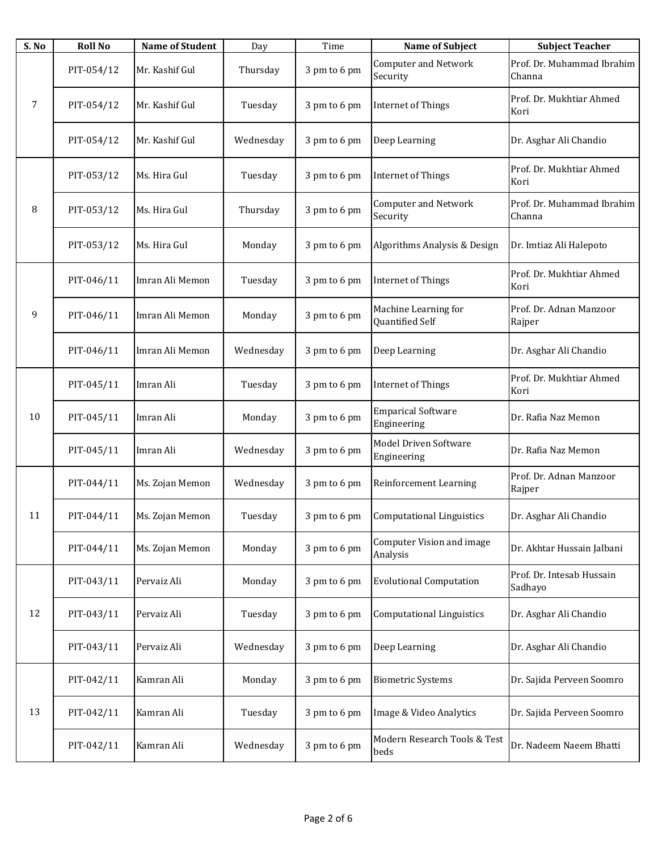| S. No | <b>Roll No</b> | <b>Name of Student</b> | Day       | Time         | <b>Name of Subject</b>                   | <b>Subject Teacher</b>               |
|-------|----------------|------------------------|-----------|--------------|------------------------------------------|--------------------------------------|
|       | PIT-054/12     | Mr. Kashif Gul         | Thursday  | 3 pm to 6 pm | <b>Computer and Network</b><br>Security  | Prof. Dr. Muhammad Ibrahim<br>Channa |
| 7     | PIT-054/12     | Mr. Kashif Gul         | Tuesday   | 3 pm to 6 pm | <b>Internet of Things</b>                | Prof. Dr. Mukhtiar Ahmed<br>Kori     |
|       | PIT-054/12     | Mr. Kashif Gul         | Wednesday | 3 pm to 6 pm | Deep Learning                            | Dr. Asghar Ali Chandio               |
|       | PIT-053/12     | Ms. Hira Gul           | Tuesday   | 3 pm to 6 pm | <b>Internet of Things</b>                | Prof. Dr. Mukhtiar Ahmed<br>Kori     |
| 8     | PIT-053/12     | Ms. Hira Gul           | Thursday  | 3 pm to 6 pm | <b>Computer and Network</b><br>Security  | Prof. Dr. Muhammad Ibrahim<br>Channa |
|       | PIT-053/12     | Ms. Hira Gul           | Monday    | 3 pm to 6 pm | Algorithms Analysis & Design             | Dr. Imtiaz Ali Halepoto              |
|       | PIT-046/11     | Imran Ali Memon        | Tuesday   | 3 pm to 6 pm | <b>Internet of Things</b>                | Prof. Dr. Mukhtiar Ahmed<br>Kori     |
| 9     | PIT-046/11     | Imran Ali Memon        | Monday    | 3 pm to 6 pm | Machine Learning for<br>Quantified Self  | Prof. Dr. Adnan Manzoor<br>Rajper    |
|       | PIT-046/11     | Imran Ali Memon        | Wednesday | 3 pm to 6 pm | Deep Learning                            | Dr. Asghar Ali Chandio               |
|       | PIT-045/11     | Imran Ali              | Tuesday   | 3 pm to 6 pm | <b>Internet of Things</b>                | Prof. Dr. Mukhtiar Ahmed<br>Kori     |
| 10    | PIT-045/11     | Imran Ali              | Monday    | 3 pm to 6 pm | <b>Emparical Software</b><br>Engineering | Dr. Rafia Naz Memon                  |
|       | PIT-045/11     | Imran Ali              | Wednesday | 3 pm to 6 pm | Model Driven Software<br>Engineering     | Dr. Rafia Naz Memon                  |
|       | PIT-044/11     | Ms. Zojan Memon        | Wednesday | 3 pm to 6 pm | Reinforcement Learning                   | Prof. Dr. Adnan Manzoor<br>Rajper    |
| 11    | PIT-044/11     | Ms. Zojan Memon        | Tuesday   | 3 pm to 6 pm | Computational Linguistics                | Dr. Asghar Ali Chandio               |
|       | PIT-044/11     | Ms. Zojan Memon        | Monday    | 3 pm to 6 pm | Computer Vision and image<br>Analysis    | Dr. Akhtar Hussain Jalbani           |
|       | PIT-043/11     | Pervaiz Ali            | Monday    | 3 pm to 6 pm | <b>Evolutional Computation</b>           | Prof. Dr. Intesab Hussain<br>Sadhayo |
| 12    | PIT-043/11     | Pervaiz Ali            | Tuesday   | 3 pm to 6 pm | <b>Computational Linguistics</b>         | Dr. Asghar Ali Chandio               |
|       | PIT-043/11     | Pervaiz Ali            | Wednesday | 3 pm to 6 pm | Deep Learning                            | Dr. Asghar Ali Chandio               |
|       | PIT-042/11     | Kamran Ali             | Monday    | 3 pm to 6 pm | <b>Biometric Systems</b>                 | Dr. Sajida Perveen Soomro            |
| 13    | PIT-042/11     | Kamran Ali             | Tuesday   | 3 pm to 6 pm | Image & Video Analytics                  | Dr. Sajida Perveen Soomro            |
|       | PIT-042/11     | Kamran Ali             | Wednesday | 3 pm to 6 pm | Modern Research Tools & Test<br>beds     | Dr. Nadeem Naeem Bhatti              |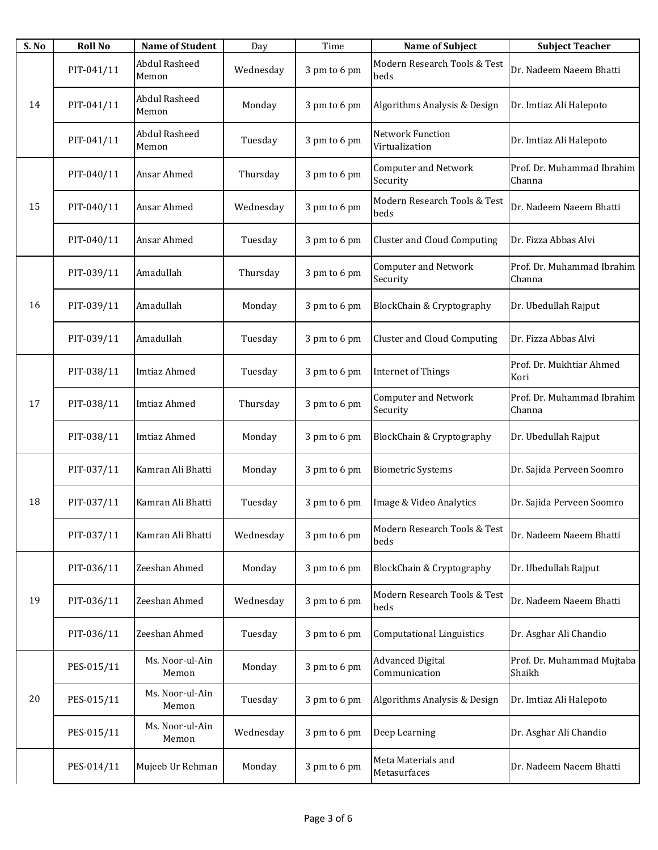| S. No | <b>Roll No</b> | <b>Name of Student</b>        | Day       | Time         | <b>Name of Subject</b>                   | <b>Subject Teacher</b>               |
|-------|----------------|-------------------------------|-----------|--------------|------------------------------------------|--------------------------------------|
|       | PIT-041/11     | <b>Abdul Rasheed</b><br>Memon | Wednesday | 3 pm to 6 pm | Modern Research Tools & Test<br>beds     | Dr. Nadeem Naeem Bhatti              |
| 14    | PIT-041/11     | Abdul Rasheed<br>Memon        | Monday    | 3 pm to 6 pm | Algorithms Analysis & Design             | Dr. Imtiaz Ali Halepoto              |
|       | PIT-041/11     | Abdul Rasheed<br>Memon        | Tuesday   | 3 pm to 6 pm | Network Function<br>Virtualization       | Dr. Imtiaz Ali Halepoto              |
|       | PIT-040/11     | Ansar Ahmed                   | Thursday  | 3 pm to 6 pm | <b>Computer and Network</b><br>Security  | Prof. Dr. Muhammad Ibrahim<br>Channa |
| 15    | PIT-040/11     | Ansar Ahmed                   | Wednesday | 3 pm to 6 pm | Modern Research Tools & Test<br>beds     | Dr. Nadeem Naeem Bhatti              |
|       | PIT-040/11     | Ansar Ahmed                   | Tuesday   | 3 pm to 6 pm | <b>Cluster and Cloud Computing</b>       | Dr. Fizza Abbas Alvi                 |
|       | PIT-039/11     | Amadullah                     | Thursday  | 3 pm to 6 pm | <b>Computer and Network</b><br>Security  | Prof. Dr. Muhammad Ibrahim<br>Channa |
| 16    | PIT-039/11     | Amadullah                     | Monday    | 3 pm to 6 pm | BlockChain & Cryptography                | Dr. Ubedullah Rajput                 |
|       | PIT-039/11     | Amadullah                     | Tuesday   | 3 pm to 6 pm | <b>Cluster and Cloud Computing</b>       | Dr. Fizza Abbas Alvi                 |
|       | PIT-038/11     | <b>Imtiaz Ahmed</b>           | Tuesday   | 3 pm to 6 pm | <b>Internet of Things</b>                | Prof. Dr. Mukhtiar Ahmed<br>Kori     |
| 17    | PIT-038/11     | <b>Imtiaz Ahmed</b>           | Thursday  | 3 pm to 6 pm | <b>Computer and Network</b><br>Security  | Prof. Dr. Muhammad Ibrahim<br>Channa |
|       | PIT-038/11     | Imtiaz Ahmed                  | Monday    | 3 pm to 6 pm | BlockChain & Cryptography                | Dr. Ubedullah Rajput                 |
|       | PIT-037/11     | Kamran Ali Bhatti             | Monday    | 3 pm to 6 pm | <b>Biometric Systems</b>                 | Dr. Sajida Perveen Soomro            |
| 18    | PIT-037/11     | Kamran Ali Bhatti             | Tuesday   | 3 pm to 6 pm | Image & Video Analytics                  | Dr. Sajida Perveen Soomro            |
|       | PIT-037/11     | Kamran Ali Bhatti             | Wednesday | 3 pm to 6 pm | Modern Research Tools & Test<br>beds     | Dr. Nadeem Naeem Bhatti              |
|       | PIT-036/11     | Zeeshan Ahmed                 | Monday    | 3 pm to 6 pm | BlockChain & Cryptography                | Dr. Ubedullah Rajput                 |
| 19    | PIT-036/11     | Zeeshan Ahmed                 | Wednesday | 3 pm to 6 pm | Modern Research Tools & Test<br>beds     | Dr. Nadeem Naeem Bhatti              |
|       | PIT-036/11     | Zeeshan Ahmed                 | Tuesday   | 3 pm to 6 pm | <b>Computational Linguistics</b>         | Dr. Asghar Ali Chandio               |
|       | PES-015/11     | Ms. Noor-ul-Ain<br>Memon      | Monday    | 3 pm to 6 pm | <b>Advanced Digital</b><br>Communication | Prof. Dr. Muhammad Mujtaba<br>Shaikh |
| 20    | PES-015/11     | Ms. Noor-ul-Ain<br>Memon      | Tuesday   | 3 pm to 6 pm | Algorithms Analysis & Design             | Dr. Imtiaz Ali Halepoto              |
|       | PES-015/11     | Ms. Noor-ul-Ain<br>Memon      | Wednesday | 3 pm to 6 pm | Deep Learning                            | Dr. Asghar Ali Chandio               |
|       | PES-014/11     | Mujeeb Ur Rehman              | Monday    | 3 pm to 6 pm | Meta Materials and<br>Metasurfaces       | Dr. Nadeem Naeem Bhatti              |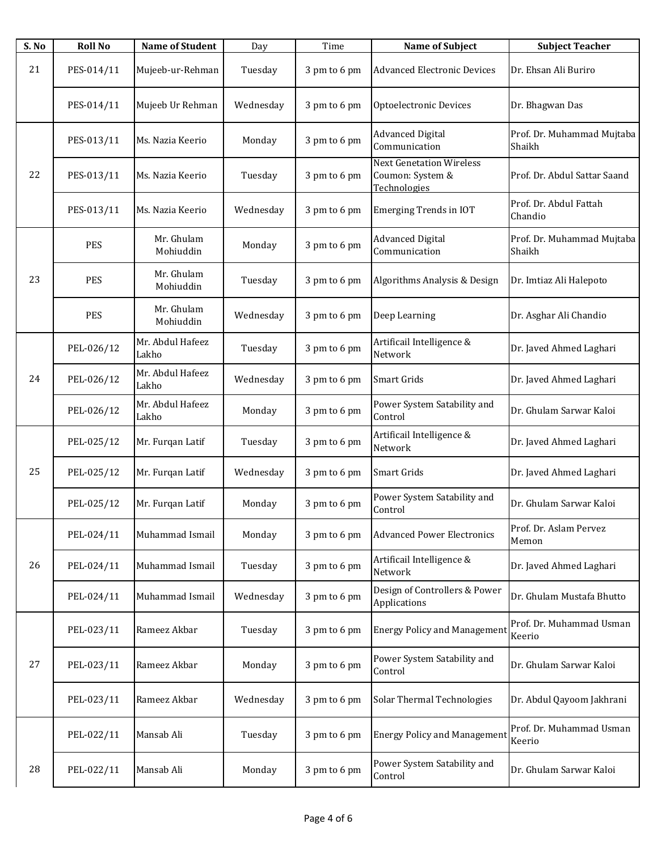| S. No | <b>Roll No</b> | <b>Name of Student</b>    | Day       | Time         | <b>Name of Subject</b>                                              | <b>Subject Teacher</b>               |
|-------|----------------|---------------------------|-----------|--------------|---------------------------------------------------------------------|--------------------------------------|
| 21    | PES-014/11     | Mujeeb-ur-Rehman          | Tuesday   | 3 pm to 6 pm | <b>Advanced Electronic Devices</b>                                  | Dr. Ehsan Ali Buriro                 |
|       | PES-014/11     | Mujeeb Ur Rehman          | Wednesday | 3 pm to 6 pm | Optoelectronic Devices                                              | Dr. Bhagwan Das                      |
|       | PES-013/11     | Ms. Nazia Keerio          | Monday    | 3 pm to 6 pm | <b>Advanced Digital</b><br>Communication                            | Prof. Dr. Muhammad Mujtaba<br>Shaikh |
| 22    | PES-013/11     | Ms. Nazia Keerio          | Tuesday   | 3 pm to 6 pm | <b>Next Genetation Wireless</b><br>Coumon: System &<br>Technologies | Prof. Dr. Abdul Sattar Saand         |
|       | PES-013/11     | Ms. Nazia Keerio          | Wednesday | 3 pm to 6 pm | <b>Emerging Trends in IOT</b>                                       | Prof. Dr. Abdul Fattah<br>Chandio    |
|       | <b>PES</b>     | Mr. Ghulam<br>Mohiuddin   | Monday    | 3 pm to 6 pm | <b>Advanced Digital</b><br>Communication                            | Prof. Dr. Muhammad Mujtaba<br>Shaikh |
| 23    | <b>PES</b>     | Mr. Ghulam<br>Mohiuddin   | Tuesday   | 3 pm to 6 pm | Algorithms Analysis & Design                                        | Dr. Imtiaz Ali Halepoto              |
|       | <b>PES</b>     | Mr. Ghulam<br>Mohiuddin   | Wednesday | 3 pm to 6 pm | Deep Learning                                                       | Dr. Asghar Ali Chandio               |
|       | PEL-026/12     | Mr. Abdul Hafeez<br>Lakho | Tuesday   | 3 pm to 6 pm | Artificail Intelligence &<br>Network                                | Dr. Javed Ahmed Laghari              |
| 24    | PEL-026/12     | Mr. Abdul Hafeez<br>Lakho | Wednesday | 3 pm to 6 pm | Smart Grids                                                         | Dr. Javed Ahmed Laghari              |
|       | PEL-026/12     | Mr. Abdul Hafeez<br>Lakho | Monday    | 3 pm to 6 pm | Power System Satability and<br>Control                              | Dr. Ghulam Sarwar Kaloi              |
|       | PEL-025/12     | Mr. Furqan Latif          | Tuesday   | 3 pm to 6 pm | Artificail Intelligence &<br>Network                                | Dr. Javed Ahmed Laghari              |
| 25    | PEL-025/12     | Mr. Furqan Latif          | Wednesday | 3 pm to 6 pm | Smart Grids                                                         | Dr. Javed Ahmed Laghari              |
|       | PEL-025/12     | Mr. Furqan Latif          | Monday    | 3 pm to 6 pm | Power System Satability and<br>Control                              | Dr. Ghulam Sarwar Kaloi              |
|       | PEL-024/11     | Muhammad Ismail           | Monday    | 3 pm to 6 pm | <b>Advanced Power Electronics</b>                                   | Prof. Dr. Aslam Pervez<br>Memon      |
| 26    | PEL-024/11     | Muhammad Ismail           | Tuesday   | 3 pm to 6 pm | Artificail Intelligence &<br>Network                                | Dr. Javed Ahmed Laghari              |
|       | PEL-024/11     | Muhammad Ismail           | Wednesday | 3 pm to 6 pm | Design of Controllers & Power<br>Applications                       | Dr. Ghulam Mustafa Bhutto            |
|       | PEL-023/11     | Rameez Akbar              | Tuesday   | 3 pm to 6 pm | <b>Energy Policy and Management</b>                                 | Prof. Dr. Muhammad Usman<br>Keerio   |
| 27    | PEL-023/11     | Rameez Akbar              | Monday    | 3 pm to 6 pm | Power System Satability and<br>Control                              | Dr. Ghulam Sarwar Kaloi              |
|       | PEL-023/11     | Rameez Akbar              | Wednesday | 3 pm to 6 pm | Solar Thermal Technologies                                          | Dr. Abdul Qayoom Jakhrani            |
|       | PEL-022/11     | Mansab Ali                | Tuesday   | 3 pm to 6 pm | <b>Energy Policy and Management</b>                                 | Prof. Dr. Muhammad Usman<br>Keerio   |
| 28    | PEL-022/11     | Mansab Ali                | Monday    | 3 pm to 6 pm | Power System Satability and<br>Control                              | Dr. Ghulam Sarwar Kaloi              |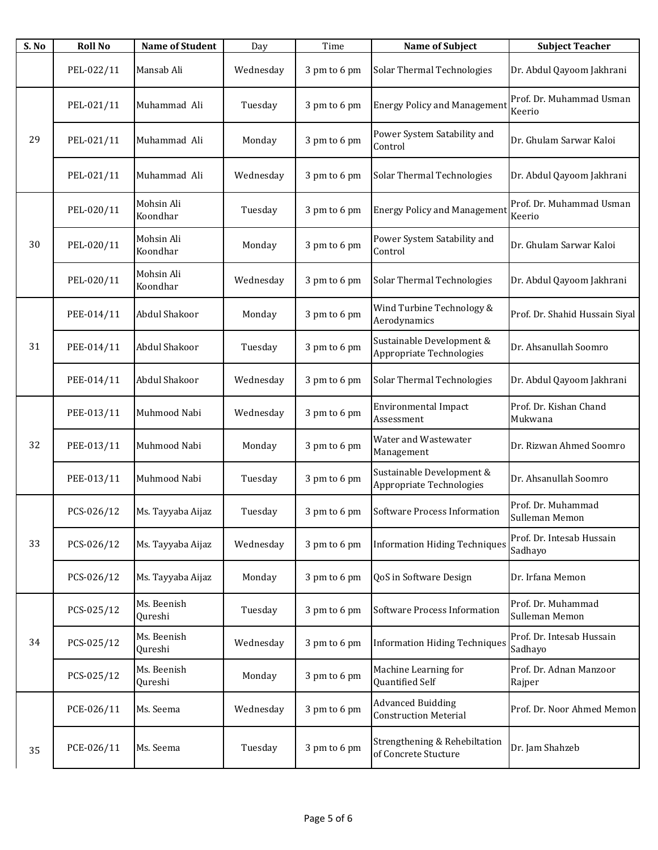| S. No | <b>Roll No</b> | <b>Name of Student</b> | Day       | Time         | <b>Name of Subject</b>                                   | <b>Subject Teacher</b>               |
|-------|----------------|------------------------|-----------|--------------|----------------------------------------------------------|--------------------------------------|
|       | PEL-022/11     | Mansab Ali             | Wednesday | 3 pm to 6 pm | Solar Thermal Technologies                               | Dr. Abdul Qayoom Jakhrani            |
|       | PEL-021/11     | Muhammad Ali           | Tuesday   | 3 pm to 6 pm | <b>Energy Policy and Management</b>                      | Prof. Dr. Muhammad Usman<br>Keerio   |
| 29    | PEL-021/11     | Muhammad Ali           | Monday    | 3 pm to 6 pm | Power System Satability and<br>Control                   | Dr. Ghulam Sarwar Kaloi              |
|       | PEL-021/11     | Muhammad Ali           | Wednesday | 3 pm to 6 pm | Solar Thermal Technologies                               | Dr. Abdul Qayoom Jakhrani            |
|       | PEL-020/11     | Mohsin Ali<br>Koondhar | Tuesday   | 3 pm to 6 pm | <b>Energy Policy and Management</b>                      | Prof. Dr. Muhammad Usman<br>Keerio   |
| 30    | PEL-020/11     | Mohsin Ali<br>Koondhar | Monday    | 3 pm to 6 pm | Power System Satability and<br>Control                   | Dr. Ghulam Sarwar Kaloi              |
|       | PEL-020/11     | Mohsin Ali<br>Koondhar | Wednesday | 3 pm to 6 pm | Solar Thermal Technologies                               | Dr. Abdul Qayoom Jakhrani            |
|       | PEE-014/11     | Abdul Shakoor          | Monday    | 3 pm to 6 pm | Wind Turbine Technology &<br>Aerodynamics                | Prof. Dr. Shahid Hussain Siyal       |
| 31    | PEE-014/11     | Abdul Shakoor          | Tuesday   | 3 pm to 6 pm | Sustainable Development &<br>Appropriate Technologies    | Dr. Ahsanullah Soomro                |
|       | PEE-014/11     | Abdul Shakoor          | Wednesday | 3 pm to 6 pm | Solar Thermal Technologies                               | Dr. Abdul Qayoom Jakhrani            |
|       | PEE-013/11     | Muhmood Nabi           | Wednesday | 3 pm to 6 pm | <b>Environmental Impact</b><br>Assessment                | Prof. Dr. Kishan Chand<br>Mukwana    |
| 32    | PEE-013/11     | Muhmood Nabi           | Monday    | 3 pm to 6 pm | Water and Wastewater<br>Management                       | Dr. Rizwan Ahmed Soomro              |
|       | PEE-013/11     | Muhmood Nabi           | Tuesday   | 3 pm to 6 pm | Sustainable Development &<br>Appropriate Technologies    | Dr. Ahsanullah Soomro                |
|       | PCS-026/12     | Ms. Tayyaba Aijaz      | Tuesday   | 3 pm to 6 pm | Software Process Information                             | Prof. Dr. Muhammad<br>Sulleman Memon |
| 33    | PCS-026/12     | Ms. Tayyaba Aijaz      | Wednesday | 3 pm to 6 pm | <b>Information Hiding Techniques</b>                     | Prof. Dr. Intesab Hussain<br>Sadhayo |
|       | PCS-026/12     | Ms. Tayyaba Aijaz      | Monday    | 3 pm to 6 pm | QoS in Software Design                                   | Dr. Irfana Memon                     |
|       | PCS-025/12     | Ms. Beenish<br>Qureshi | Tuesday   | 3 pm to 6 pm | Software Process Information                             | Prof. Dr. Muhammad<br>Sulleman Memon |
| 34    | PCS-025/12     | Ms. Beenish<br>Qureshi | Wednesday | 3 pm to 6 pm | <b>Information Hiding Techniques</b>                     | Prof. Dr. Intesab Hussain<br>Sadhayo |
|       | PCS-025/12     | Ms. Beenish<br>Qureshi | Monday    | 3 pm to 6 pm | Machine Learning for<br>Quantified Self                  | Prof. Dr. Adnan Manzoor<br>Rajper    |
|       | PCE-026/11     | Ms. Seema              | Wednesday | 3 pm to 6 pm | <b>Advanced Buidding</b><br><b>Construction Meterial</b> | Prof. Dr. Noor Ahmed Memon           |
| 35    | PCE-026/11     | Ms. Seema              | Tuesday   | 3 pm to 6 pm | Strengthening & Rehebiltation<br>of Concrete Stucture    | Dr. Jam Shahzeb                      |